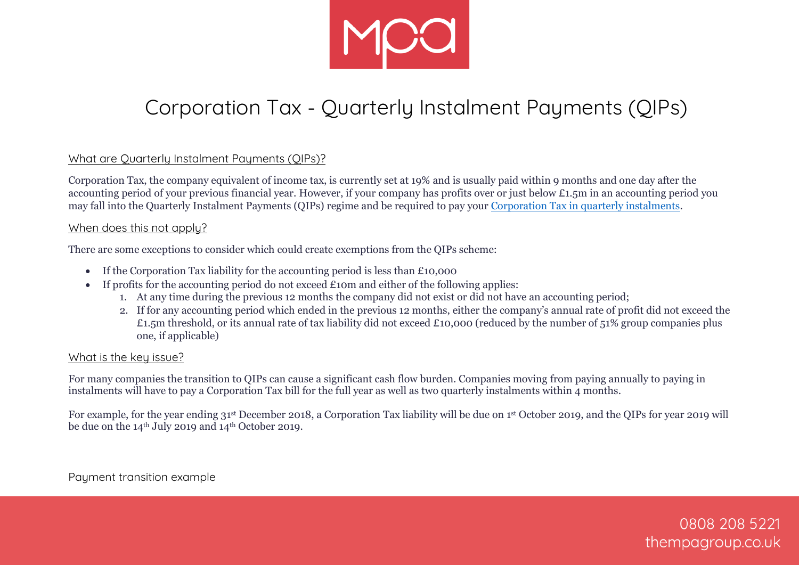

# Corporation Tax - Quarterly Instalment Payments (QIPs)

### What are Quarterly Instalment Payments (QIPs)?

Corporation Tax, the company equivalent of income tax, is currently set at 19% and is usually paid within 9 months and one day after the accounting period of your previous financial year. However, if your company has profits over or just below £1.5m in an accounting period you may fall into the Quarterly Instalment Payments (QIPs) regime and be required to pay your [Corporation Tax in quarterly instalments.](https://www.gov.uk/guidance/corporation-tax-paying-in-instalments)

#### When does this not apply?

There are some exceptions to consider which could create exemptions from the QIPs scheme:

- If the Corporation Tax liability for the accounting period is less than £10,000
- If profits for the accounting period do not exceed £10m and either of the following applies:
	- 1. At any time during the previous 12 months the company did not exist or did not have an accounting period;
	- 2. If for any accounting period which ended in the previous 12 months, either the company's annual rate of profit did not exceed the £1.5m threshold, or its annual rate of tax liability did not exceed £10,000 (reduced by the number of 51% group companies plus one, if applicable)

#### What is the key issue?

For many companies the transition to QIPs can cause a significant cash flow burden. Companies moving from paying annually to paying in instalments will have to pay a Corporation Tax bill for the full year as well as two quarterly instalments within 4 months.

For example, for the year ending 31<sup>st</sup> December 2018, a Corporation Tax liability will be due on 1<sup>st</sup> October 2019, and the QIPs for year 2019 will be due on the  $14<sup>th</sup>$  July 2019 and  $14<sup>th</sup>$  October 2019.

Payment transition example

0808 208 5221 thempagroup.co.uk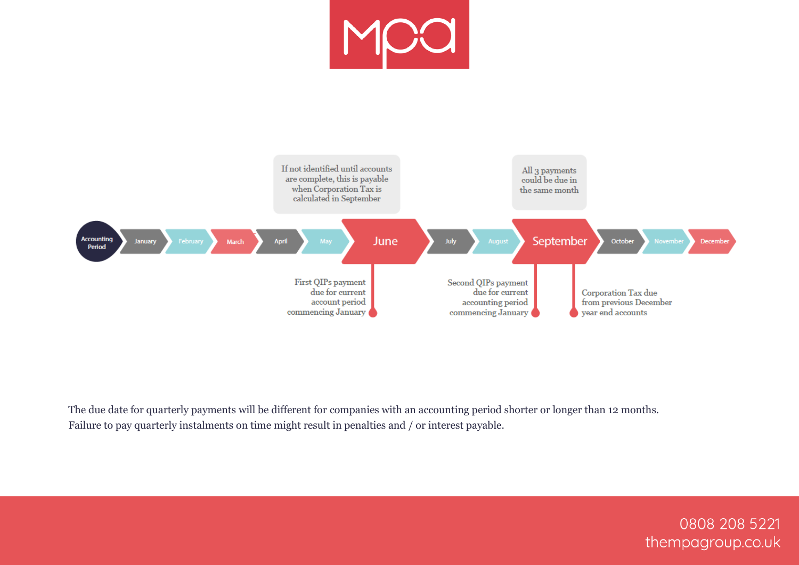



The due date for quarterly payments will be different for companies with an accounting period shorter or longer than 12 months. Failure to pay quarterly instalments on time might result in penalties and / or interest payable.

> 0808 208 5221 thempagroup.co.uk